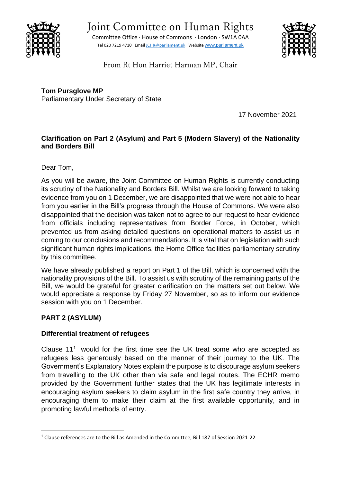

Committee Office ∙ House of Commons ∙ London ∙ SW1A 0AA Tel 020 7219 4710 Emai[l JCHR@parliament.uk](mailto:JCHR@parliament.uk) Website [www.parliament.uk](http://www.parliament.uk/)



From Rt Hon Harriet Harman MP, Chair

**Tom Pursglove MP** Parliamentary Under Secretary of State

17 November 2021

## **Clarification on Part 2 (Asylum) and Part 5 (Modern Slavery) of the Nationality and Borders Bill**

Dear Tom,

As you will be aware, the Joint Committee on Human Rights is currently conducting its scrutiny of the Nationality and Borders Bill. Whilst we are looking forward to taking evidence from you on 1 December, we are disappointed that we were not able to hear from you earlier in the Bill's progress through the House of Commons. We were also disappointed that the decision was taken not to agree to our request to hear evidence from officials including representatives from Border Force, in October, which prevented us from asking detailed questions on operational matters to assist us in coming to our conclusions and recommendations. It is vital that on legislation with such significant human rights implications, the Home Office facilities parliamentary scrutiny by this committee.

We have already published a report on Part 1 of the Bill, which is concerned with the nationality provisions of the Bill. To assist us with scrutiny of the remaining parts of the Bill, we would be grateful for greater clarification on the matters set out below. We would appreciate a response by Friday 27 November, so as to inform our evidence session with you on 1 December.

## **PART 2 (ASYLUM)**

## **Differential treatment of refugees**

Clause  $11<sup>1</sup>$  would for the first time see the UK treat some who are accepted as refugees less generously based on the manner of their journey to the UK. The Government's Explanatory Notes explain the purpose is to discourage asylum seekers from travelling to the UK other than via safe and legal routes. The ECHR memo provided by the Government further states that the UK has legitimate interests in encouraging asylum seekers to claim asylum in the first safe country they arrive, in encouraging them to make their claim at the first available opportunity, and in promoting lawful methods of entry.

<sup>1</sup> Clause references are to the Bill as Amended in the Committee, Bill 187 of Session 2021-22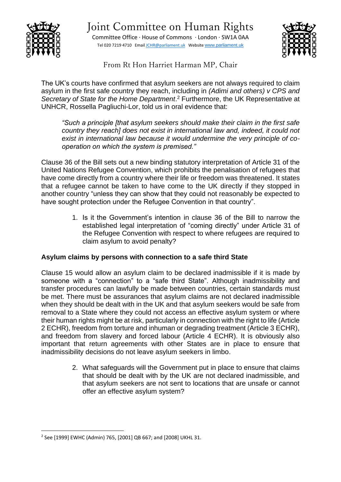

Committee Office ∙ House of Commons ∙ London ∙ SW1A 0AA Tel 020 7219 4710 Emai[l JCHR@parliament.uk](mailto:JCHR@parliament.uk) Website [www.parliament.uk](http://www.parliament.uk/)



From Rt Hon Harriet Harman MP, Chair

The UK's courts have confirmed that asylum seekers are not always required to claim asylum in the first safe country they reach, including in *(Adimi and others) v CPS and Secretary of State for the Home Department*. <sup>2</sup> Furthermore, the UK Representative at UNHCR, Rossella Pagliuchi-Lor, told us in oral evidence that:

*"Such a principle [that asylum seekers should make their claim in the first safe country they reach] does not exist in international law and, indeed, it could not exist in international law because it would undermine the very principle of cooperation on which the system is premised."* 

Clause 36 of the Bill sets out a new binding statutory interpretation of Article 31 of the United Nations Refugee Convention, which prohibits the penalisation of refugees that have come directly from a country where their life or freedom was threatened. It states that a refugee cannot be taken to have come to the UK directly if they stopped in another country "unless they can show that they could not reasonably be expected to have sought protection under the Refugee Convention in that country".

> 1. Is it the Government's intention in clause 36 of the Bill to narrow the established legal interpretation of "coming directly" under Article 31 of the Refugee Convention with respect to where refugees are required to claim asylum to avoid penalty?

## **Asylum claims by persons with connection to a safe third State**

Clause 15 would allow an asylum claim to be declared inadmissible if it is made by someone with a "connection" to a "safe third State". Although inadmissibility and transfer procedures can lawfully be made between countries, certain standards must be met. There must be assurances that asylum claims are not declared inadmissible when they should be dealt with in the UK and that asylum seekers would be safe from removal to a State where they could not access an effective asylum system or where their human rights might be at risk, particularly in connection with the right to life (Article 2 ECHR), freedom from torture and inhuman or degrading treatment (Article 3 ECHR), and freedom from slavery and forced labour (Article 4 ECHR). It is obviously also important that return agreements with other States are in place to ensure that inadmissibility decisions do not leave asylum seekers in limbo.

> 2. What safeguards will the Government put in place to ensure that claims that should be dealt with by the UK are not declared inadmissible, and that asylum seekers are not sent to locations that are unsafe or cannot offer an effective asylum system?

<sup>2</sup> See [1999] EWHC (Admin) 765, [2001] QB 667; and [2008] UKHL 31.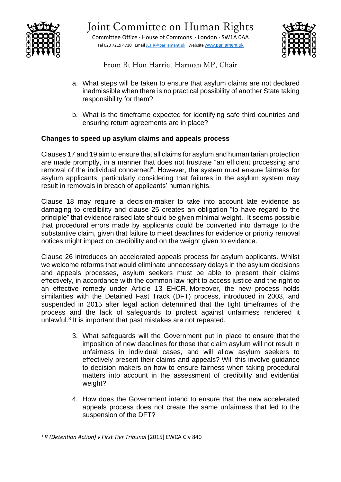

Committee Office ∙ House of Commons ∙ London ∙ SW1A 0AA Tel 020 7219 4710 Emai[l JCHR@parliament.uk](mailto:JCHR@parliament.uk) Website [www.parliament.uk](http://www.parliament.uk/)



From Rt Hon Harriet Harman MP, Chair

- a. What steps will be taken to ensure that asylum claims are not declared inadmissible when there is no practical possibility of another State taking responsibility for them?
- b. What is the timeframe expected for identifying safe third countries and ensuring return agreements are in place?

## **Changes to speed up asylum claims and appeals process**

Clauses 17 and 19 aim to ensure that all claims for asylum and humanitarian protection are made promptly, in a manner that does not frustrate "an efficient processing and removal of the individual concerned". However, the system must ensure fairness for asylum applicants, particularly considering that failures in the asylum system may result in removals in breach of applicants' human rights.

Clause 18 may require a decision-maker to take into account late evidence as damaging to credibility and clause 25 creates an obligation "to have regard to the principle" that evidence raised late should be given minimal weight. It seems possible that procedural errors made by applicants could be converted into damage to the substantive claim, given that failure to meet deadlines for evidence or priority removal notices might impact on credibility and on the weight given to evidence.

Clause 26 introduces an accelerated appeals process for asylum applicants. Whilst we welcome reforms that would eliminate unnecessary delays in the asylum decisions and appeals processes, asylum seekers must be able to present their claims effectively, in accordance with the common law right to access justice and the right to an effective remedy under Article 13 EHCR. Moreover, the new process holds similarities with the Detained Fast Track (DFT) process, introduced in 2003, and suspended in 2015 after legal action determined that the tight timeframes of the process and the lack of safeguards to protect against unfairness rendered it unlawful.<sup>3</sup> It is important that past mistakes are not repeated.

- 3. What safeguards will the Government put in place to ensure that the imposition of new deadlines for those that claim asylum will not result in unfairness in individual cases, and will allow asylum seekers to effectively present their claims and appeals? Will this involve guidance to decision makers on how to ensure fairness when taking procedural matters into account in the assessment of credibility and evidential weight?
- 4. How does the Government intend to ensure that the new accelerated appeals process does not create the same unfairness that led to the suspension of the DFT?

<sup>3</sup> *R (Detention Action) v First Tier Tribunal* [2015] EWCA Civ 840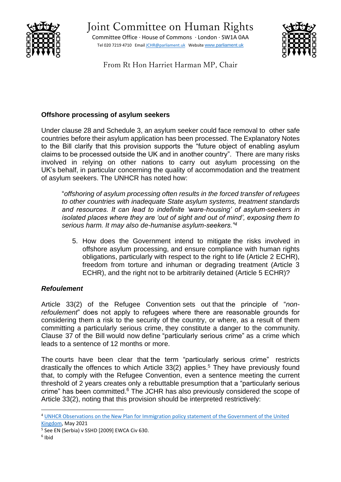

Committee Office ∙ House of Commons ∙ London ∙ SW1A 0AA Tel 020 7219 4710 Emai[l JCHR@parliament.uk](mailto:JCHR@parliament.uk) Website [www.parliament.uk](http://www.parliament.uk/)



From Rt Hon Harriet Harman MP, Chair

## **Offshore processing of asylum seekers**

Under clause 28 and Schedule 3, an asylum seeker could face removal to other safe countries before their asylum application has been processed. The Explanatory Notes to the Bill clarify that this provision supports the "future object of enabling asylum claims to be processed outside the UK and in another country". There are many risks involved in relying on other nations to carry out asylum processing on the UK's behalf, in particular concerning the quality of accommodation and the treatment of asylum seekers. The UNHCR has noted how:

"*offshoring of asylum processing often results in the forced transfer of refugees to other countries with inadequate State asylum systems, treatment standards and resources. It can lead to indefinite 'ware-housing' of asylum-seekers in isolated places where they are 'out of sight and out of mind', exposing them to serious harm. It may also de-humanise asylum-seekers."<sup>4</sup>*

5. How does the Government intend to mitigate the risks involved in offshore asylum processing, and ensure compliance with human rights obligations, particularly with respect to the right to life (Article 2 ECHR), freedom from torture and inhuman or degrading treatment (Article 3 ECHR), and the right not to be arbitrarily detained (Article 5 ECHR)?

## *Refoulement*

Article 33(2) of the Refugee Convention sets out that the principle of "*nonrefoulement*" does not apply to refugees where there are reasonable grounds for considering them a risk to the security of the country, or where, as a result of them committing a particularly serious crime, they constitute a danger to the community. Clause 37 of the Bill would now define "particularly serious crime" as a crime which leads to a sentence of 12 months or more.

The courts have been clear that the term "particularly serious crime" restricts drastically the offences to which Article 33(2) applies.<sup>5</sup> They have previously found that, to comply with the Refugee Convention, even a sentence meeting the current threshold of 2 years creates only a rebuttable presumption that a "particularly serious crime" has been committed.<sup>6</sup> The JCHR has also previously considered the scope of Article 33(2), noting that this provision should be interpreted restrictively:

<sup>&</sup>lt;sup>4</sup> UNHCR Observations on the New Plan for Immigration policy statement of the Government of the United [Kingdom,](https://www.unhcr.org/uk/publications/legal/60950ed64/unhcr-observations-on-the-new-plan-for-immigration-uk.html) May 2021

<sup>5</sup> See EN (Serbia) v SSHD [2009] EWCA Civ 630.

<sup>6</sup> Ibid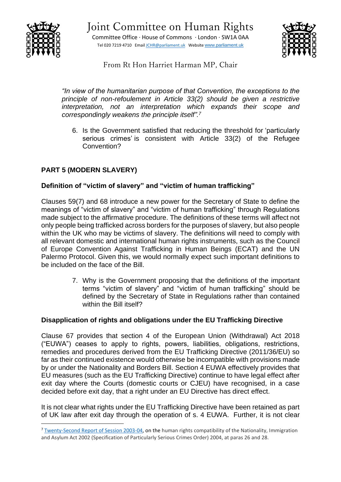





From Rt Hon Harriet Harman MP, Chair

*"In view of the humanitarian purpose of that Convention, the exceptions to the principle of non-refoulement in Article 33(2) should be given a restrictive interpretation, not an interpretation which expands their scope and correspondingly weakens the principle itself". 7*

6. Is the Government satisfied that reducing the threshold for 'particularly serious crimes' is consistent with Article 33(2) of the Refugee Convention?

## **PART 5 (MODERN SLAVERY)**

## **Definition of "victim of slavery" and "victim of human trafficking"**

Clauses 59(7) and 68 introduce a new power for the Secretary of State to define the meanings of "victim of slavery" and "victim of human trafficking" through Regulations made subject to the affirmative procedure. The definitions of these terms will affect not only people being trafficked across borders for the purposes of slavery, but also people within the UK who may be victims of slavery. The definitions will need to comply with all relevant domestic and international human rights instruments, such as the Council of Europe Convention Against Trafficking in Human Beings (ECAT) and the UN Palermo Protocol. Given this, we would normally expect such important definitions to be included on the face of the Bill.

> 7. Why is the Government proposing that the definitions of the important terms "victim of slavery" and "victim of human trafficking" should be defined by the Secretary of State in Regulations rather than contained within the Bill itself?

## **Disapplication of rights and obligations under the EU Trafficking Directive**

Clause 67 provides that section 4 of the European Union (Withdrawal) Act 2018 ("EUWA") ceases to apply to rights, powers, liabilities, obligations, restrictions, remedies and procedures derived from the EU Trafficking Directive (2011/36/EU) so far as their continued existence would otherwise be incompatible with provisions made by or under the Nationality and Borders Bill. Section 4 EUWA effectively provides that EU measures (such as the EU Trafficking Directive) continue to have legal effect after exit day where the Courts (domestic courts or CJEU) have recognised, in a case decided before exit day, that a right under an EU Directive has direct effect.

It is not clear what rights under the EU Trafficking Directive have been retained as part of UK law after exit day through the operation of s. 4 EUWA. Further, it is not clear

<sup>7</sup> [Tw](https://publications.parliament.uk/pa/jt200304/jtselect/jtrights/190/19005.htm)enty-Second Report of Session 2003-04, on the human rights compatibility of the Nationality, Immigration and Asylum Act 2002 (Specification of Particularly Serious Crimes Order) 2004, at paras 26 and 28.